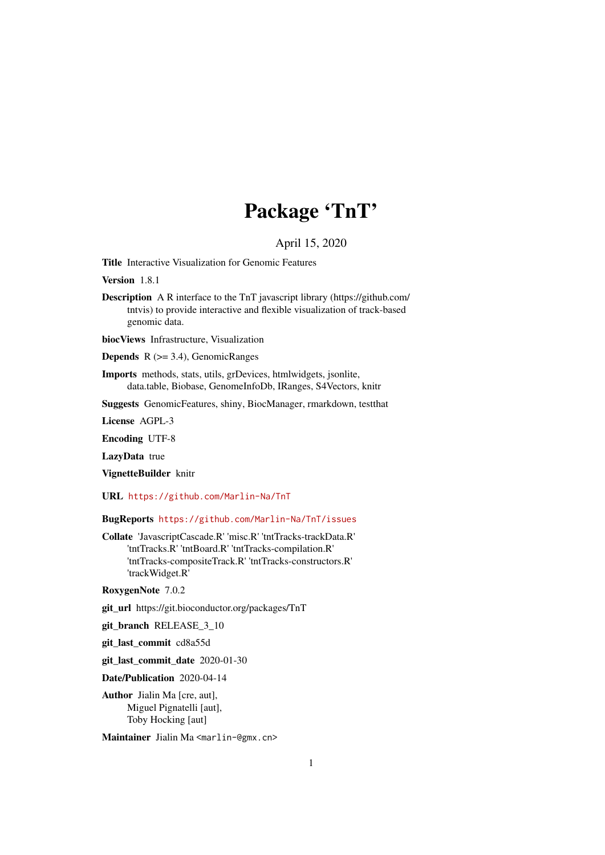## Package 'TnT'

## April 15, 2020

<span id="page-0-0"></span>Title Interactive Visualization for Genomic Features

Version 1.8.1

Description A R interface to the TnT javascript library (https://github.com/ tntvis) to provide interactive and flexible visualization of track-based genomic data.

biocViews Infrastructure, Visualization

**Depends**  $R$  ( $>= 3.4$ ), GenomicRanges

Imports methods, stats, utils, grDevices, htmlwidgets, jsonlite, data.table, Biobase, GenomeInfoDb, IRanges, S4Vectors, knitr

Suggests GenomicFeatures, shiny, BiocManager, rmarkdown, testthat

License AGPL-3

Encoding UTF-8

LazyData true

VignetteBuilder knitr

URL <https://github.com/Marlin-Na/TnT>

BugReports <https://github.com/Marlin-Na/TnT/issues>

Collate 'JavascriptCascade.R' 'misc.R' 'tntTracks-trackData.R' 'tntTracks.R' 'tntBoard.R' 'tntTracks-compilation.R' 'tntTracks-compositeTrack.R' 'tntTracks-constructors.R' 'trackWidget.R'

RoxygenNote 7.0.2

git\_url https://git.bioconductor.org/packages/TnT

git\_branch RELEASE\_3\_10

git\_last\_commit cd8a55d

git\_last\_commit\_date 2020-01-30

Date/Publication 2020-04-14

Author Jialin Ma [cre, aut], Miguel Pignatelli [aut], Toby Hocking [aut]

Maintainer Jialin Ma <marlin-@gmx.cn>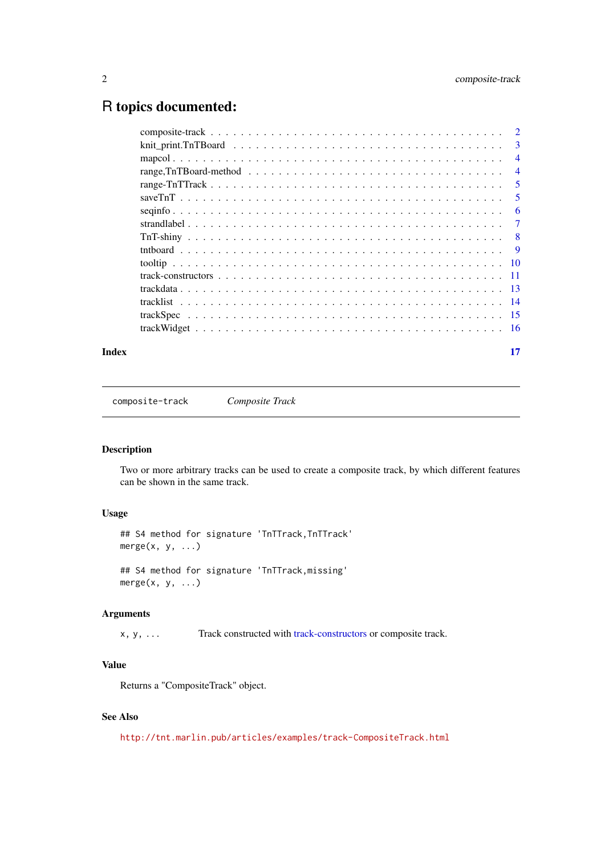## <span id="page-1-0"></span>R topics documented:

|                                                                                                                     | 3              |
|---------------------------------------------------------------------------------------------------------------------|----------------|
|                                                                                                                     | $\overline{4}$ |
| range, TnTBoard-method $\ldots \ldots \ldots \ldots \ldots \ldots \ldots \ldots \ldots \ldots \ldots \ldots \ldots$ | $\overline{4}$ |
|                                                                                                                     | 5              |
|                                                                                                                     | 5              |
|                                                                                                                     | 6              |
|                                                                                                                     | 7              |
|                                                                                                                     | 8              |
|                                                                                                                     | 9              |
|                                                                                                                     |                |
|                                                                                                                     |                |
|                                                                                                                     |                |
|                                                                                                                     |                |
|                                                                                                                     |                |
|                                                                                                                     |                |
|                                                                                                                     |                |

#### **Index** [17](#page-16-0)

<span id="page-1-1"></span>composite-track *Composite Track*

## Description

Two or more arbitrary tracks can be used to create a composite track, by which different features can be shown in the same track.

## Usage

```
## S4 method for signature 'TnTTrack, TnTTrack'
merge(x, y, \ldots)## S4 method for signature 'TnTTrack,missing'
merge(x, y, ...)
```
## Arguments

x, y, ... Track constructed with [track-constructors](#page-10-1) or composite track.

## Value

Returns a "CompositeTrack" object.

## See Also

<http://tnt.marlin.pub/articles/examples/track-CompositeTrack.html>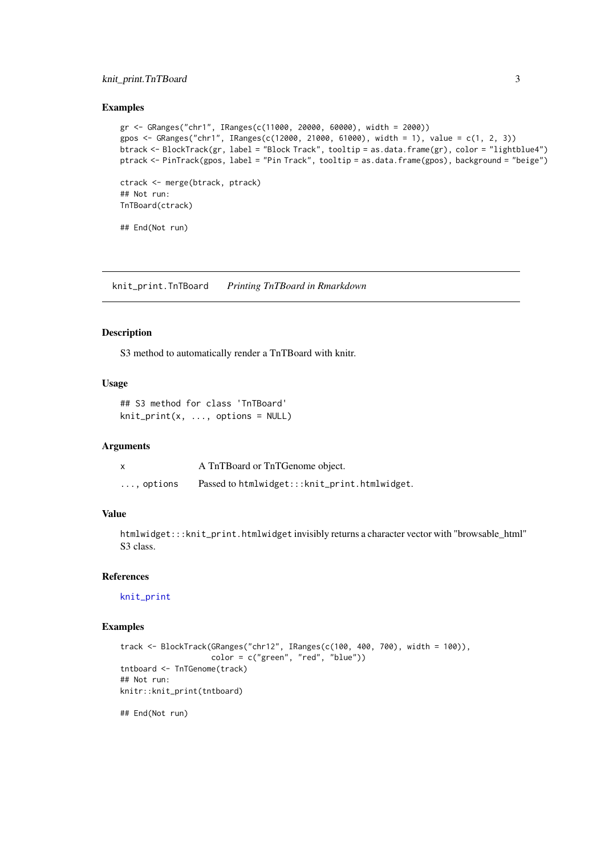#### <span id="page-2-0"></span>knit\_print.TnTBoard 3

#### Examples

```
gr <- GRanges("chr1", IRanges(c(11000, 20000, 60000), width = 2000))
gpos <- GRanges("chr1", IRanges(c(12000, 21000, 61000), width = 1), value = c(1, 2, 3))
btrack <- BlockTrack(gr, label = "Block Track", tooltip = as.data.frame(gr), color = "lightblue4")
ptrack <- PinTrack(gpos, label = "Pin Track", tooltip = as.data.frame(gpos), background = "beige")
ctrack <- merge(btrack, ptrack)
## Not run:
TnTBoard(ctrack)
## End(Not run)
```
knit\_print.TnTBoard *Printing TnTBoard in Rmarkdown*

#### Description

S3 method to automatically render a TnTBoard with knitr.

## Usage

```
## S3 method for class 'TnTBoard'
knit\_print(x, ..., options = NULL)
```
#### Arguments

|                    | A TnTBoard or TnTGenome object.               |
|--------------------|-----------------------------------------------|
| $\ldots$ , options | Passed to htmlwidget:::knit_print.htmlwidget. |

## Value

htmlwidget:::knit\_print.htmlwidget invisibly returns a character vector with "browsable\_html" S3 class.

#### References

[knit\\_print](#page-0-0)

## Examples

```
track <- BlockTrack(GRanges("chr12", IRanges(c(100, 400, 700), width = 100)),
                   color = c("green", "red", "blue"))
tntboard <- TnTGenome(track)
## Not run:
knitr::knit_print(tntboard)
```
## End(Not run)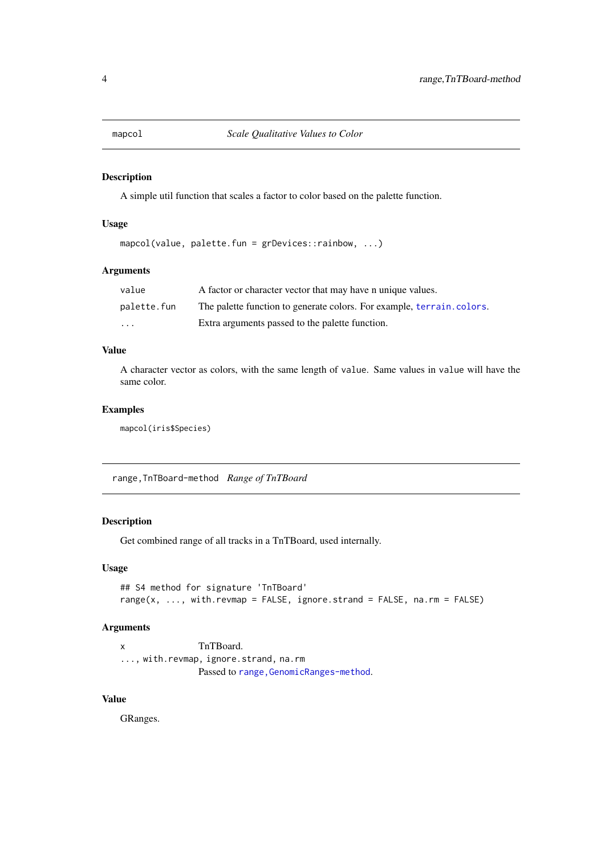<span id="page-3-0"></span>

#### Description

A simple util function that scales a factor to color based on the palette function.

#### Usage

```
mapcol(value, palette.fun = grDevices::rainbow, ...)
```
#### Arguments

| value       | A factor or character vector that may have n unique values.            |
|-------------|------------------------------------------------------------------------|
| palette.fun | The palette function to generate colors. For example, terrain, colors. |
| $\cdots$    | Extra arguments passed to the palette function.                        |

## Value

A character vector as colors, with the same length of value. Same values in value will have the same color.

## Examples

mapcol(iris\$Species)

range,TnTBoard-method *Range of TnTBoard*

## Description

Get combined range of all tracks in a TnTBoard, used internally.

## Usage

```
## S4 method for signature 'TnTBoard'
range(x, ..., with.revmap = FALSE, ignore.strand = FALSE, na.rm = FALSE)
```
## Arguments

```
x TnTBoard.
..., with.revmap, ignore.strand, na.rm
              Passed to range, GenomicRanges-method.
```
## Value

GRanges.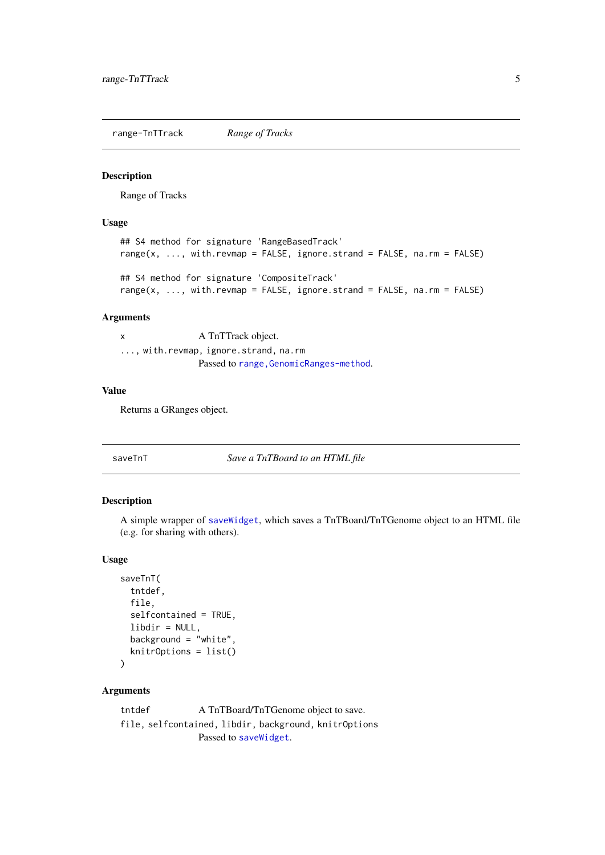<span id="page-4-0"></span>range-TnTTrack *Range of Tracks*

#### Description

Range of Tracks

#### Usage

```
## S4 method for signature 'RangeBasedTrack'
range(x, \dots, with.revmap = FALSE, ignore.strand = FALSE, na.rm = FALSE)
## S4 method for signature 'CompositeTrack'
range(x, ..., with.revmap = FALSE, ignore.strand = FALSE, na.rm = FALSE)
```
## Arguments

x A TnTTrack object. ..., with.revmap, ignore.strand, na.rm Passed to range, GenomicRanges-method.

#### Value

Returns a GRanges object.

saveTnT *Save a TnTBoard to an HTML file*

#### Description

A simple wrapper of [saveWidget](#page-0-0), which saves a TnTBoard/TnTGenome object to an HTML file (e.g. for sharing with others).

#### Usage

```
saveTnT(
  tntdef,
  file,
  selfcontained = TRUE,
  libdir = NULL,
  background = "white",
  knitrOptions = list()
\lambda
```
#### Arguments

tntdef A TnTBoard/TnTGenome object to save. file, selfcontained, libdir, background, knitrOptions Passed to [saveWidget](#page-0-0).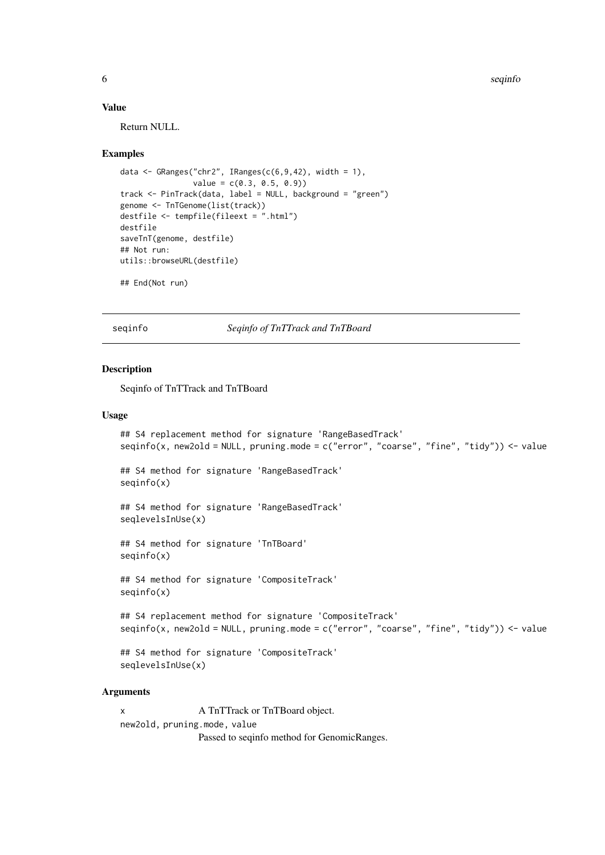6 seqinfo $\sim$  5 seqinfo $\sim$  5 seqinfo $\sim$  5 seqinfo $\sim$  5 seqinfo $\sim$  5 seqinfo $\sim$ 

#### Value

Return NULL.

#### Examples

```
data <- GRanges("chr2", IRanges(c(6, 9, 42), width = 1),
                value = c(0.3, 0.5, 0.9)track <- PinTrack(data, label = NULL, background = "green")
genome <- TnTGenome(list(track))
destfile <- tempfile(fileext = ".html")
destfile
saveTnT(genome, destfile)
## Not run:
utils::browseURL(destfile)
## End(Not run)
```
seqinfo *Seqinfo of TnTTrack and TnTBoard*

#### Description

Seqinfo of TnTTrack and TnTBoard

## Usage

```
## S4 replacement method for signature 'RangeBasedTrack'
seqinfo(x, new2old = NULL, pruning.mode = c("error", "coarse", "fine", "tidy")) <- value
## S4 method for signature 'RangeBasedTrack'
seqinfo(x)
## S4 method for signature 'RangeBasedTrack'
seqlevelsInUse(x)
## S4 method for signature 'TnTBoard'
seqinfo(x)
## S4 method for signature 'CompositeTrack'
seqinfo(x)
## S4 replacement method for signature 'CompositeTrack'
seqinfo(x, new2old = NULL, pruning mode = c("error", "coarse", "fine", "tidy")) \le value## S4 method for signature 'CompositeTrack'
```
seqlevelsInUse(x)

#### Arguments

x A TnTTrack or TnTBoard object. new2old, pruning.mode, value Passed to seqinfo method for GenomicRanges.

<span id="page-5-0"></span>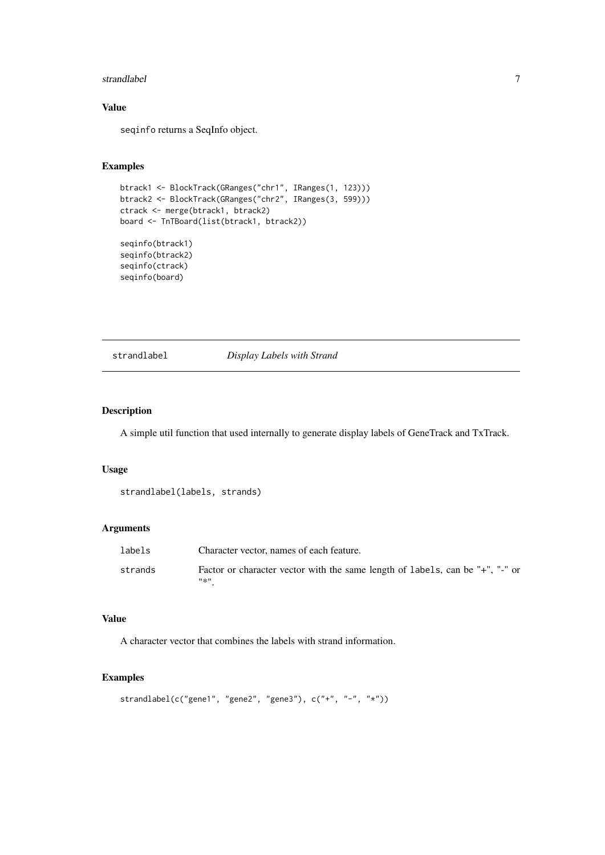#### <span id="page-6-0"></span>strandlabel 7 and 7 and 7 and 7 and 7 and 7 and 7 and 7 and 7 and 7 and 7 and 7 and 7 and 7 and 7 and 7 and 7 and 7 and 7 and 7 and 7 and 7 and 7 and 7 and 7 and 7 and 7 and 7 and 7 and 7 and 7 and 7 and 7 and 7 and 7 and

## Value

seqinfo returns a SeqInfo object.

## Examples

```
btrack1 <- BlockTrack(GRanges("chr1", IRanges(1, 123)))
btrack2 <- BlockTrack(GRanges("chr2", IRanges(3, 599)))
ctrack <- merge(btrack1, btrack2)
board <- TnTBoard(list(btrack1, btrack2))
seqinfo(btrack1)
seqinfo(btrack2)
seqinfo(ctrack)
```
seqinfo(board)

#### strandlabel *Display Labels with Strand*

## Description

A simple util function that used internally to generate display labels of GeneTrack and TxTrack.

#### Usage

```
strandlabel(labels, strands)
```
## Arguments

| labels  | Character vector, names of each feature.                                              |
|---------|---------------------------------------------------------------------------------------|
| strands | Factor or character vector with the same length of labels, can be "+", "-" or<br>#소!! |

## Value

A character vector that combines the labels with strand information.

```
strandlabel(c("gene1", "gene2", "gene3"), c("+", "-", "*"))
```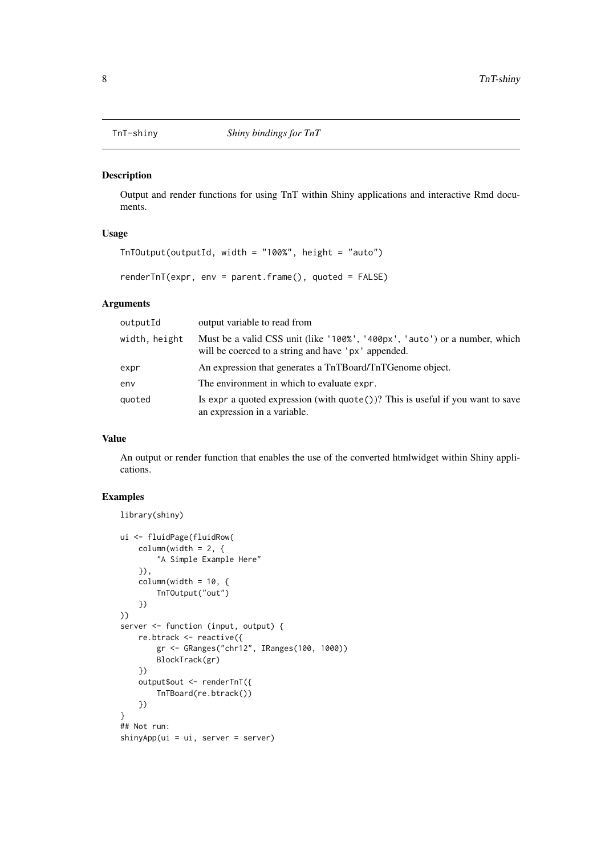<span id="page-7-0"></span>

## Description

Output and render functions for using TnT within Shiny applications and interactive Rmd documents.

## Usage

```
TnTOutput(outputId, width = "100%", height = "auto")
```

```
renderTnT(expr, env = parent.frame(), quoted = FALSE)
```
## Arguments

| outputId      | output variable to read from                                                                                                      |
|---------------|-----------------------------------------------------------------------------------------------------------------------------------|
| width, height | Must be a valid CSS unit (like '100%', '400px', 'auto') or a number, which<br>will be coerced to a string and have 'px' appended. |
| expr          | An expression that generates a TnTBoard/TnTGenome object.                                                                         |
| env           | The environment in which to evaluate expr.                                                                                        |
| quoted        | Is expr a quoted expression (with $\text{quote}()$ )? This is useful if you want to save<br>an expression in a variable.          |

## Value

An output or render function that enables the use of the converted htmlwidget within Shiny applications.

```
library(shiny)
ui <- fluidPage(fluidRow(
    column(width = 2, {
        "A Simple Example Here"
    }),
    columnwidth = 10, {TnTOutput("out")
    })
))
server <- function (input, output) {
    re.btrack <- reactive({
        gr <- GRanges("chr12", IRanges(100, 1000))
        BlockTrack(gr)
    })
    output$out <- renderTnT({
        TnTBoard(re.btrack())
    })
}
## Not run:
shinyApp(ui = ui, server = server)
```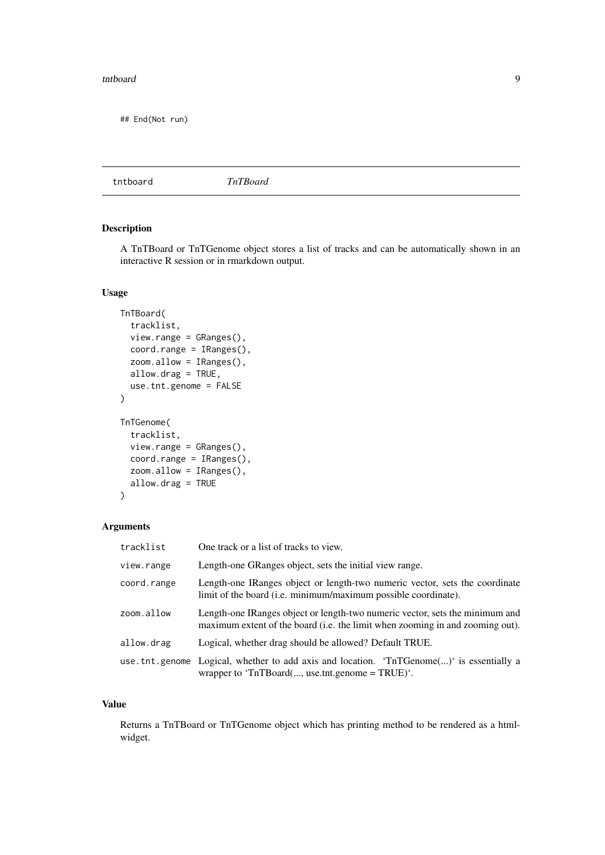#### <span id="page-8-0"></span>tntboard 9

## End(Not run)

tntboard *TnTBoard*

#### Description

A TnTBoard or TnTGenome object stores a list of tracks and can be automatically shown in an interactive R session or in rmarkdown output.

#### Usage

```
TnTBoard(
  tracklist,
  view.range = GRanges(),
  coord.range = IRanges(),
  zoom.allow = IRanges(),
  allow.drag = TRUE,
  use.tnt.genome = FALSE
\lambdaTnTGenome(
  tracklist,
  view.range = GRanges(),
  coord.range = IRanges(),
  zoom.allow = IRanges(),
  allow.drag = TRUE
\lambda
```
## Arguments

| tracklist   | One track or a list of tracks to view.                                                                                                                        |
|-------------|---------------------------------------------------------------------------------------------------------------------------------------------------------------|
| view.range  | Length-one GRanges object, sets the initial view range.                                                                                                       |
| coord.range | Length-one IRanges object or length-two numeric vector, sets the coordinate<br>limit of the board (i.e. minimum/maximum possible coordinate).                 |
| zoom.allow  | Length-one IRanges object or length-two numeric vector, sets the minimum and<br>maximum extent of the board (i.e. the limit when zooming in and zooming out). |
| allow.drag  | Logical, whether drag should be allowed? Default TRUE.                                                                                                        |
|             | use that genome Logical, whether to add axis and location. 'The TGenome $(\ldots)$ ' is essentially a<br>wrapper to ' $TnTBoard(, use.tnt.genome = TRUE)'$ .  |

## Value

Returns a TnTBoard or TnTGenome object which has printing method to be rendered as a htmlwidget.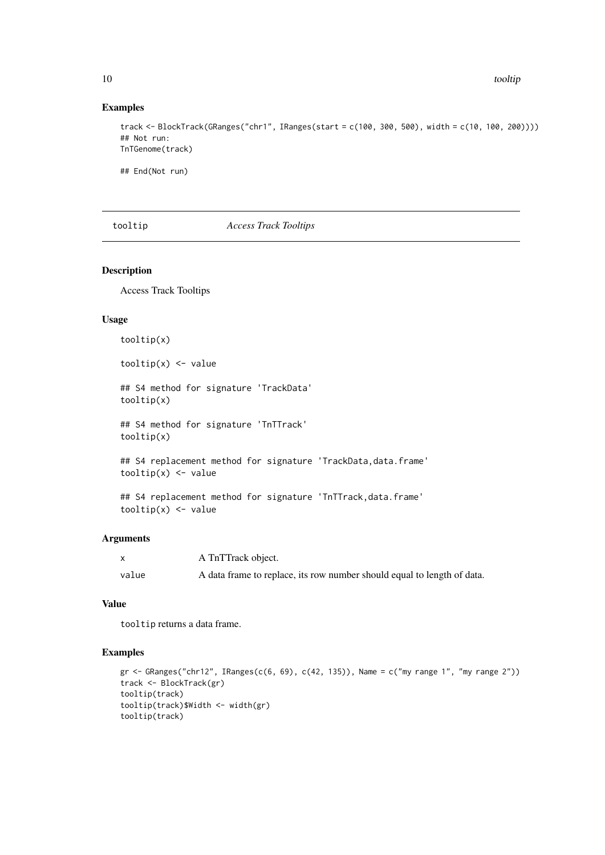<span id="page-9-0"></span>10 tooltip

## Examples

```
track <- BlockTrack(GRanges("chr1", IRanges(start = c(100, 300, 500), width = c(10, 100, 200))))
## Not run:
TnTGenome(track)
```
## End(Not run)

#### tooltip *Access Track Tooltips*

#### Description

Access Track Tooltips

## Usage

```
tooltip(x)
tooltip(x) <- value
## S4 method for signature 'TrackData'
tooltip(x)
## S4 method for signature 'TnTTrack'
tooltip(x)
## S4 replacement method for signature 'TrackData, data.frame'
tooltip(x) <- value
```

```
## S4 replacement method for signature 'TnTTrack, data.frame'
tooltip(x) <- value
```
#### Arguments

|       | A TnTTrack object.                                                      |
|-------|-------------------------------------------------------------------------|
| value | A data frame to replace, its row number should equal to length of data. |

#### Value

tooltip returns a data frame.

```
gr <- GRanges("chr12", IRanges(c(6, 69), c(42, 135)), Name = c("my range 1", "my range 2"))
track <- BlockTrack(gr)
tooltip(track)
tooltip(track)$Width <- width(gr)
tooltip(track)
```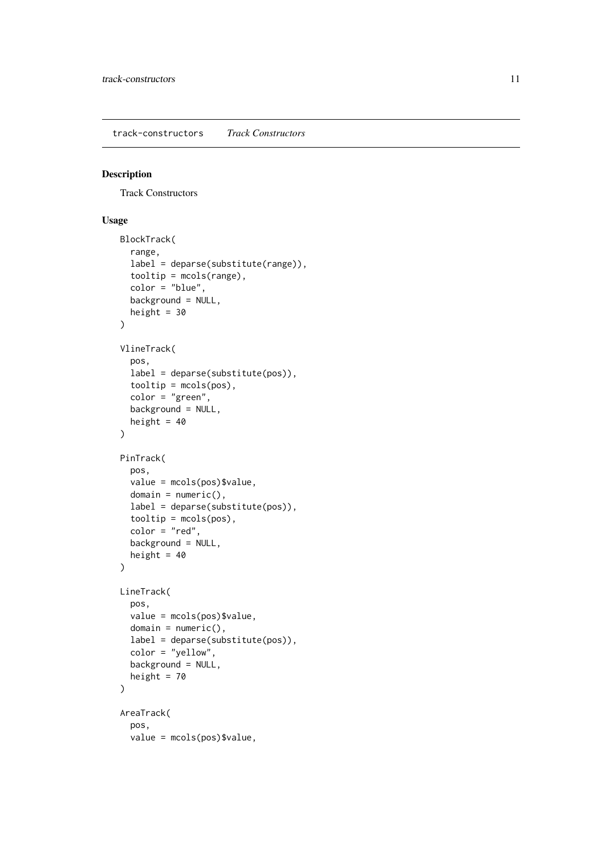<span id="page-10-1"></span><span id="page-10-0"></span>track-constructors *Track Constructors*

## Description

Track Constructors

## Usage

```
BlockTrack(
  range,
  label = deparse(substitute(range)),
  tooltip = mcols(range),
  color = "blue",
  background = NULL,
  height = 30\lambdaVlineTrack(
  pos,
  label = deparse(substitute(pos)),
  tooltip = mcols(pos),
  color = "green",
  background = NULL,
  height = 40)
PinTrack(
  pos,
  value = mcols(pos)$value,
  domain = numeric(),label = deparse(substitute(pos)),
  tooltip = mcols(pos),
  color = "red",
  background = NULL,
  height = 40\lambdaLineTrack(
  pos,
  value = mcols(pos)$value,
  domain = numeric(),
  label = deparse(substitute(pos)),
  color = "yellow",
  background = NULL,
  height = 70)
AreaTrack(
  pos,
  value = mcols(pos)$value,
```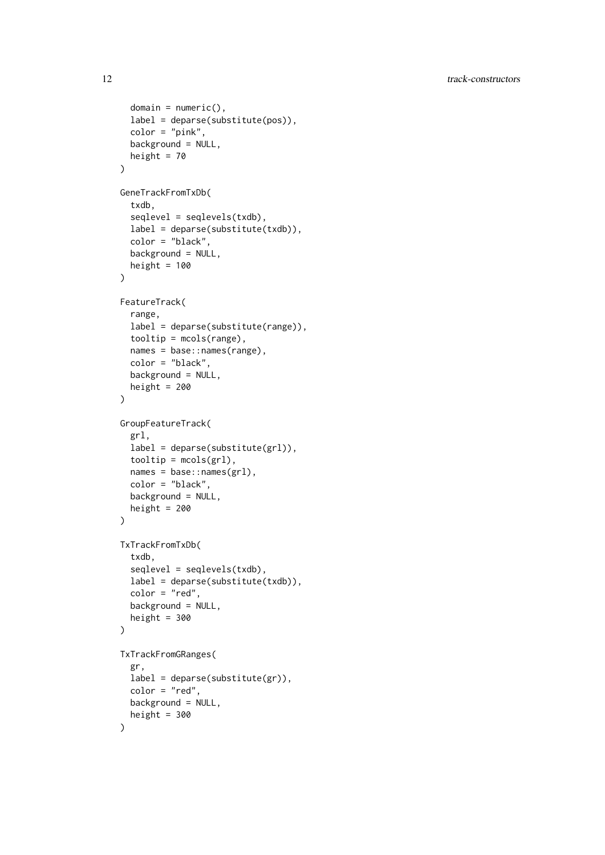```
domain = numeric(),
  label = deparse(substitute(pos)),
  color = "pink",
  background = NULL,
  height = 70)
GeneTrackFromTxDb(
  txdb,
  seqlevel = seqlevels(txdb),
  label = deparse(substitute(txdb)),
  color = "black",
  background = NULL,
  height = 100\lambdaFeatureTrack(
  range,
  label = deparse(substitute(range)),
  tooltip = mcols(range),
  names = base::names(range),
  color = "black",
  background = NULL,
  height = 200)
GroupFeatureTrack(
  grl,
  label = deparse(substitute(grl)),
  tooltip = mcols(grl),
  names = base::names(grl),
  color = "black",
  background = NULL,
  height = 200)
TxTrackFromTxDb(
  txdb,
  seqlevel = seqlevels(txdb),
  label = deparse(substitute(txdb)),
  color = "red",
  background = NULL,
  height = 300)
TxTrackFromGRanges(
  gr,
  label = <math>deparse(substitute(gr))</math>,color = "red",
  background = NULL,
  height = 300\lambda
```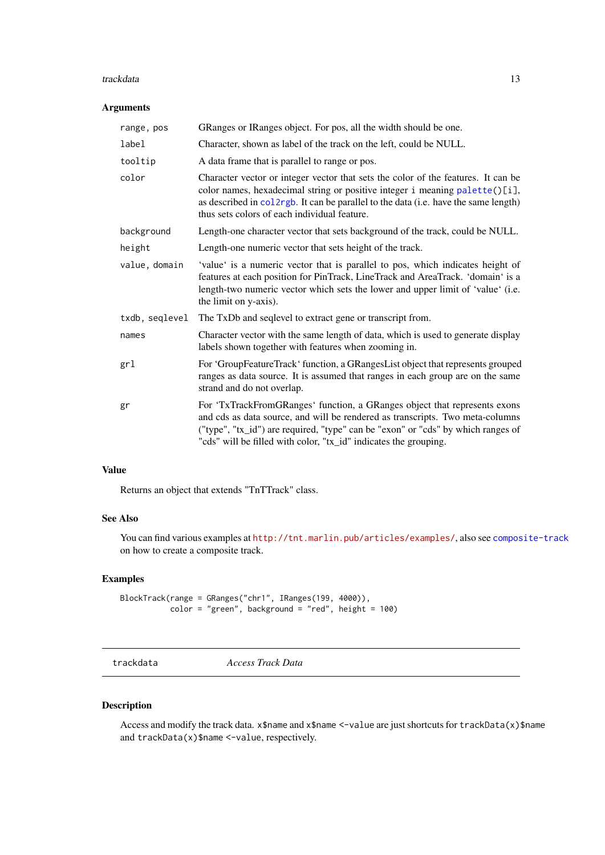#### <span id="page-12-0"></span>trackdata and the state of the state of the state of the state of the state of the state of the state of the state of the state of the state of the state of the state of the state of the state of the state of the state of

#### Arguments

| range, pos     | GRanges or IRanges object. For pos, all the width should be one.                                                                                                                                                                                                                                                   |
|----------------|--------------------------------------------------------------------------------------------------------------------------------------------------------------------------------------------------------------------------------------------------------------------------------------------------------------------|
| label          | Character, shown as label of the track on the left, could be NULL.                                                                                                                                                                                                                                                 |
| tooltip        | A data frame that is parallel to range or pos.                                                                                                                                                                                                                                                                     |
| color          | Character vector or integer vector that sets the color of the features. It can be<br>color names, hexadecimal string or positive integer i meaning palette()[i],<br>as described in collarged. It can be parallel to the data (i.e. have the same length)<br>thus sets colors of each individual feature.          |
| background     | Length-one character vector that sets background of the track, could be NULL.                                                                                                                                                                                                                                      |
| height         | Length-one numeric vector that sets height of the track.                                                                                                                                                                                                                                                           |
| value, domain  | 'value' is a numeric vector that is parallel to pos, which indicates height of<br>features at each position for PinTrack, LineTrack and AreaTrack. 'domain' is a<br>length-two numeric vector which sets the lower and upper limit of 'value' (i.e.<br>the limit on y-axis).                                       |
| txdb, seglevel | The TxDb and seqlevel to extract gene or transcript from.                                                                                                                                                                                                                                                          |
| names          | Character vector with the same length of data, which is used to generate display<br>labels shown together with features when zooming in.                                                                                                                                                                           |
| grl            | For 'GroupFeatureTrack' function, a GRangesList object that represents grouped<br>ranges as data source. It is assumed that ranges in each group are on the same<br>strand and do not overlap.                                                                                                                     |
| gr             | For 'TxTrackFromGRanges' function, a GRanges object that represents exons<br>and cds as data source, and will be rendered as transcripts. Two meta-columns<br>("type", "tx_id") are required, "type" can be "exon" or "cds" by which ranges of<br>"cds" will be filled with color, "tx_id" indicates the grouping. |

#### Value

Returns an object that extends "TnTTrack" class.

#### See Also

You can find various examples at <http://tnt.marlin.pub/articles/examples/>, also see [composite-track](#page-1-1) on how to create a composite track.

## Examples

BlockTrack(range = GRanges("chr1", IRanges(199, 4000)),  $color = "green", background = "red", height = 100)$ 

trackdata *Access Track Data*

## Description

Access and modify the track data. x\$name and x\$name <-value are just shortcuts for trackData(x)\$name and trackData(x)\$name <-value, respectively.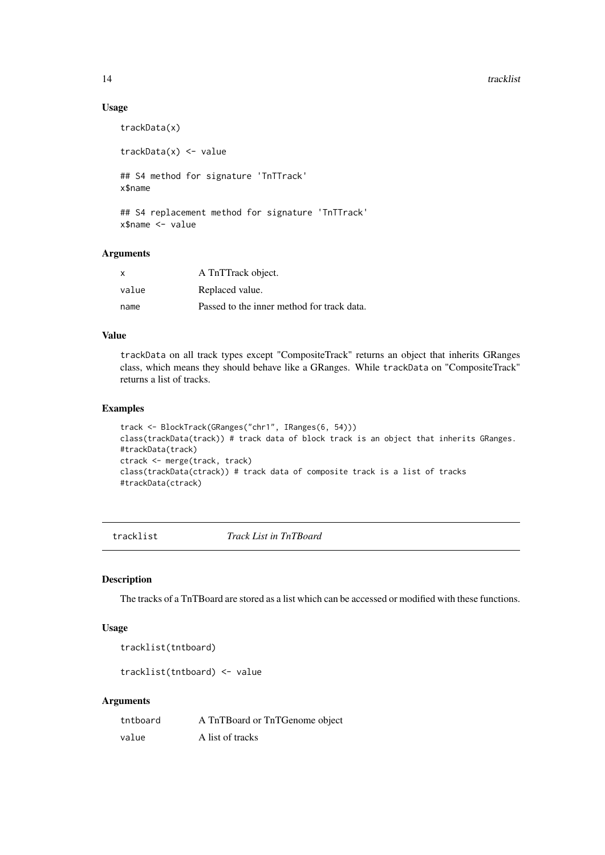<span id="page-13-0"></span>14 tracklist tracklist tracklist tracklist tracklist tracklist tracklist tracklist tracklist tracklist tracklist

#### Usage

```
trackData(x)
trackData(x) <- value
## S4 method for signature 'TnTTrack'
x$name
## S4 replacement method for signature 'TnTTrack'
```
x\$name <- value

#### Arguments

| $\boldsymbol{\mathsf{x}}$ | A TnTTrack object.                         |
|---------------------------|--------------------------------------------|
| value                     | Replaced value.                            |
| name                      | Passed to the inner method for track data. |

#### Value

trackData on all track types except "CompositeTrack" returns an object that inherits GRanges class, which means they should behave like a GRanges. While trackData on "CompositeTrack" returns a list of tracks.

## Examples

```
track <- BlockTrack(GRanges("chr1", IRanges(6, 54)))
class(trackData(track)) # track data of block track is an object that inherits GRanges.
#trackData(track)
ctrack <- merge(track, track)
class(trackData(ctrack)) # track data of composite track is a list of tracks
#trackData(ctrack)
```
tracklist *Track List in TnTBoard*

#### Description

The tracks of a TnTBoard are stored as a list which can be accessed or modified with these functions.

## Usage

```
tracklist(tntboard)
```
tracklist(tntboard) <- value

#### Arguments

| tntboard | A TnTBoard or TnTGenome object |
|----------|--------------------------------|
| value    | A list of tracks               |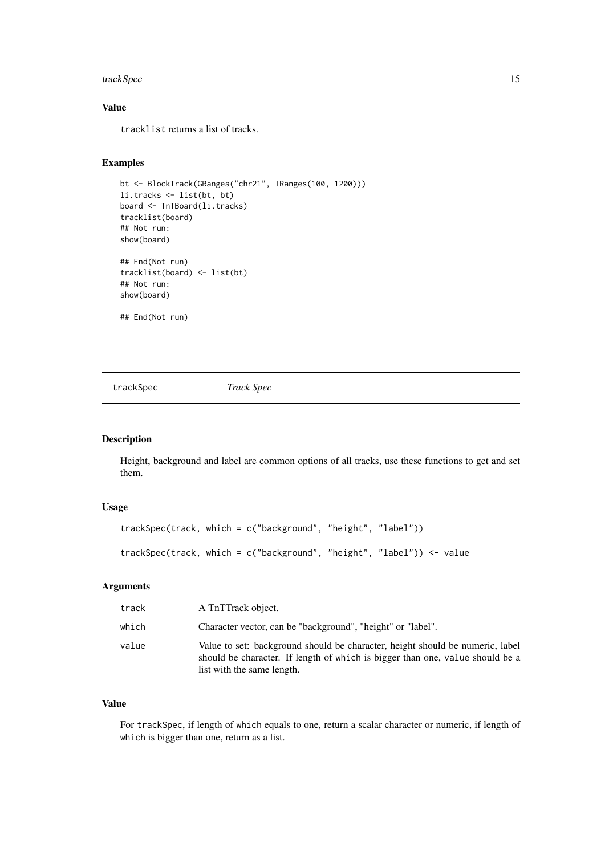#### <span id="page-14-0"></span>trackSpec 15

#### Value

tracklist returns a list of tracks.

#### Examples

```
bt <- BlockTrack(GRanges("chr21", IRanges(100, 1200)))
li.tracks <- list(bt, bt)
board <- TnTBoard(li.tracks)
tracklist(board)
## Not run:
show(board)
## End(Not run)
tracklist(board) <- list(bt)
## Not run:
show(board)
## End(Not run)
```
trackSpec *Track Spec*

## Description

Height, background and label are common options of all tracks, use these functions to get and set them.

#### Usage

```
trackSpec(track, which = c("background", "height", "label"))
trackSpec(track, which = c("background", "height", "label")) <- value
```
## Arguments

| track | A TnTTrack object.                                                                                                                                                                           |
|-------|----------------------------------------------------------------------------------------------------------------------------------------------------------------------------------------------|
| which | Character vector, can be "background", "height" or "label".                                                                                                                                  |
| value | Value to set: background should be character, height should be numeric, label<br>should be character. If length of which is bigger than one, value should be a<br>list with the same length. |

#### Value

For trackSpec, if length of which equals to one, return a scalar character or numeric, if length of which is bigger than one, return as a list.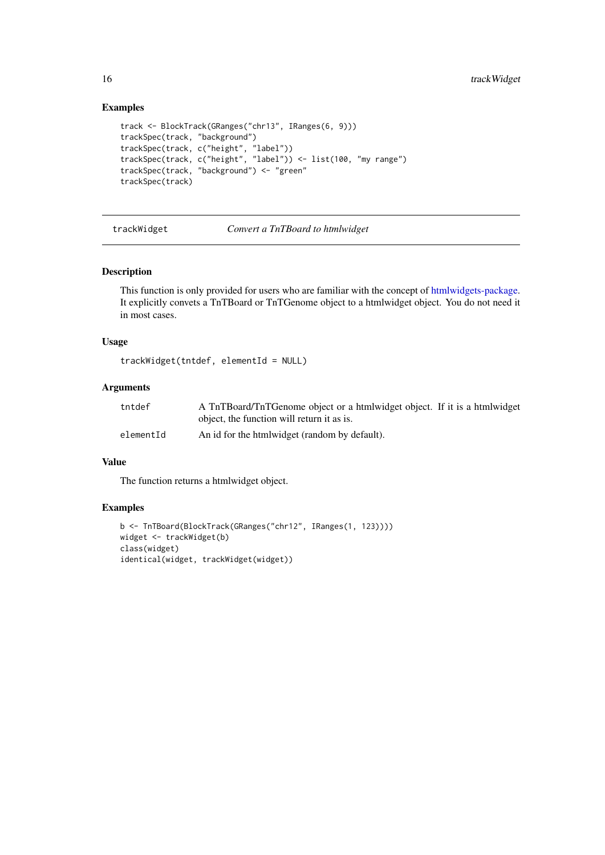## Examples

```
track <- BlockTrack(GRanges("chr13", IRanges(6, 9)))
trackSpec(track, "background")
trackSpec(track, c("height", "label"))
trackSpec(track, c("height", "label")) <- list(100, "my range")
trackSpec(track, "background") <- "green"
trackSpec(track)
```
trackWidget *Convert a TnTBoard to htmlwidget*

## Description

This function is only provided for users who are familiar with the concept of [htmlwidgets-package.](#page-0-0) It explicitly convets a TnTBoard or TnTGenome object to a htmlwidget object. You do not need it in most cases.

## Usage

```
trackWidget(tntdef, elementId = NULL)
```
#### Arguments

| tntdef    | A TnTBoard/TnTGenome object or a htmlwidget object. If it is a htmlwidget |
|-----------|---------------------------------------------------------------------------|
|           | object, the function will return it as is.                                |
| elementId | An id for the htmlwidget (random by default).                             |

#### Value

The function returns a htmlwidget object.

```
b <- TnTBoard(BlockTrack(GRanges("chr12", IRanges(1, 123))))
widget <- trackWidget(b)
class(widget)
identical(widget, trackWidget(widget))
```
<span id="page-15-0"></span>